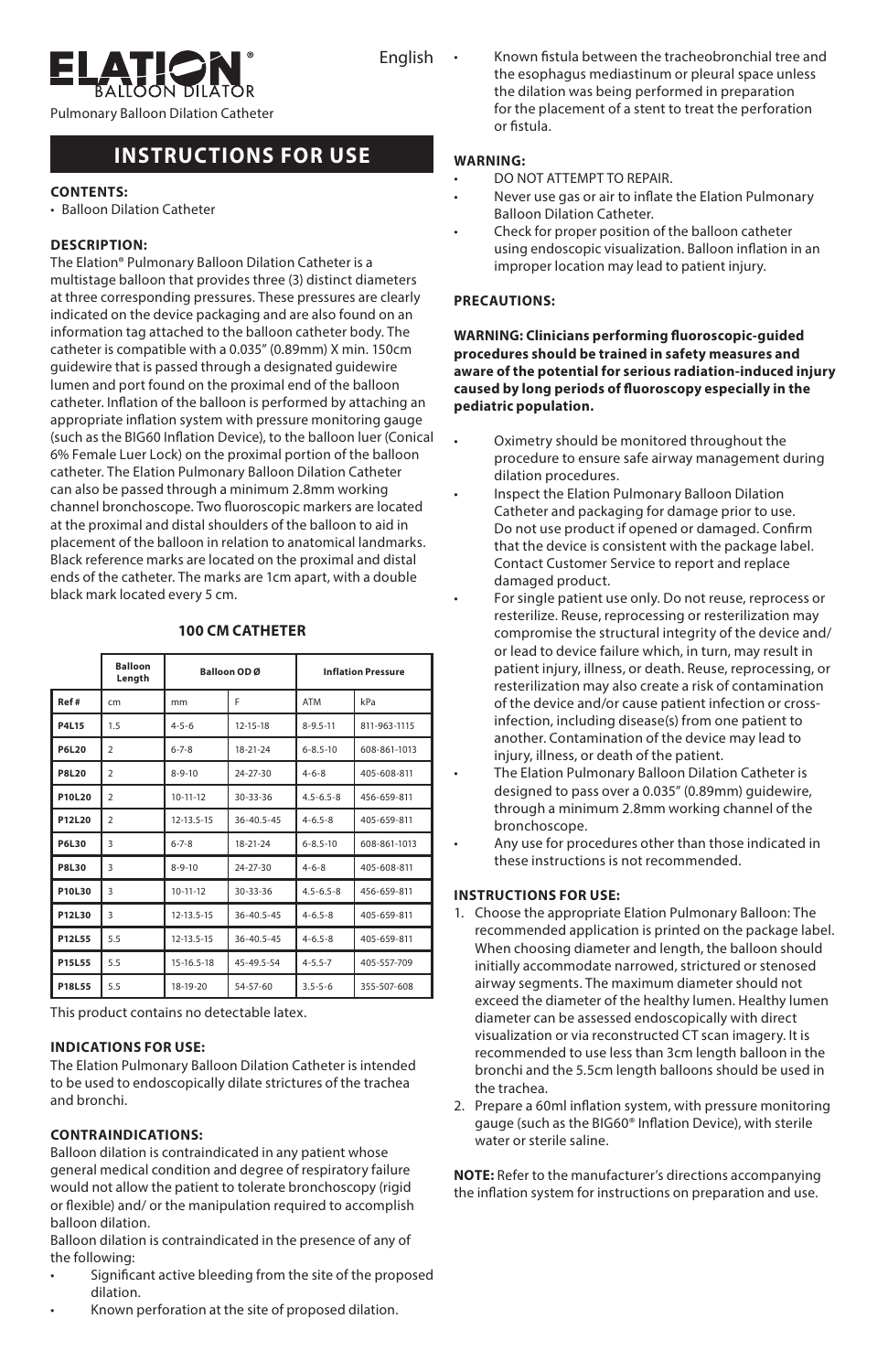

English

Pulmonary Balloon Dilation Catheter

# **INSTRUCTIONS FOR USE**

## **CONTENTS:**

• Balloon Dilation Catheter

## **DESCRIPTION:**

The Elation® Pulmonary Balloon Dilation Catheter is a multistage balloon that provides three (3) distinct diameters at three corresponding pressures. These pressures are clearly indicated on the device packaging and are also found on an information tag attached to the balloon catheter body. The catheter is compatible with a 0.035" (0.89mm) X min. 150cm guidewire that is passed through a designated guidewire lumen and port found on the proximal end of the balloon catheter. Inflation of the balloon is performed by attaching an appropriate inflation system with pressure monitoring gauge (such as the BIG60 Inflation Device), to the balloon luer (Conical 6% Female Luer Lock) on the proximal portion of the balloon catheter. The Elation Pulmonary Balloon Dilation Catheter can also be passed through a minimum 2.8mm working channel bronchoscope. Two fluoroscopic markers are located at the proximal and distal shoulders of the balloon to aid in placement of the balloon in relation to anatomical landmarks. Black reference marks are located on the proximal and distal ends of the catheter. The marks are 1cm apart, with a double black mark located every 5 cm.

|               | <b>Balloon</b><br>Length | Balloon OD Ø     |                  | <b>Inflation Pressure</b> |              |
|---------------|--------------------------|------------------|------------------|---------------------------|--------------|
| Ref#          | cm                       | mm               | F                | <b>ATM</b>                | kPa          |
| <b>P4L15</b>  | 1.5                      | $4 - 5 - 6$      | $12 - 15 - 18$   | $8 - 9.5 - 11$            | 811-963-1115 |
| <b>P6L20</b>  | $\overline{2}$           | $6 - 7 - 8$      | 18-21-24         | $6 - 8.5 - 10$            | 608-861-1013 |
| <b>P8L20</b>  | $\mathcal{P}$            | $8 - 9 - 10$     | $24 - 27 - 30$   | $4 - 6 - 8$               | 405-608-811  |
| P10L20        | $\overline{2}$           | $10 - 11 - 12$   | $30 - 33 - 36$   | $4.5 - 6.5 - 8$           | 456-659-811  |
| P12L20        | $\overline{2}$           | $12 - 13.5 - 15$ | $36 - 40.5 - 45$ | $4 - 6.5 - 8$             | 405-659-811  |
| P6L30         | $\overline{\mathbf{3}}$  | $6 - 7 - 8$      | 18-21-24         | $6 - 8.5 - 10$            | 608-861-1013 |
| <b>P8L30</b>  | $\overline{\mathbf{3}}$  | $8 - 9 - 10$     | $24 - 27 - 30$   | $4 - 6 - 8$               | 405-608-811  |
| P10L30        | $\overline{\mathbf{3}}$  | $10 - 11 - 12$   | $30 - 33 - 36$   | $4.5 - 6.5 - 8$           | 456-659-811  |
| P12L30        | $\overline{\mathbf{3}}$  | 12-13.5-15       | $36 - 40.5 - 45$ | $4 - 6.5 - 8$             | 405-659-811  |
| P12L55        | 5.5                      | 12-13.5-15       | $36 - 40.5 - 45$ | $4 - 6.5 - 8$             | 405-659-811  |
| <b>P15L55</b> | 5.5                      | 15-16.5-18       | 45-49.5-54       | $4 - 5.5 - 7$             | 405-557-709  |
| P18L55        | 5.5                      | 18-19-20         | $54 - 57 - 60$   | $3.5 - 5 - 6$             | 355-507-608  |

# **100 CM CATHETER**

This product contains no detectable latex.

## **INDICATIONS FOR USE:**

The Elation Pulmonary Balloon Dilation Catheter is intended to be used to endoscopically dilate strictures of the trachea and bronchi.

## **CONTRAINDICATIONS:**

Balloon dilation is contraindicated in any patient whose general medical condition and degree of respiratory failure would not allow the patient to tolerate bronchoscopy (rigid or flexible) and/ or the manipulation required to accomplish balloon dilation.

Balloon dilation is contraindicated in the presence of any of the following:

- Significant active bleeding from the site of the proposed dilation.
- Known perforation at the site of proposed dilation.

• Known fistula between the tracheobronchial tree and the esophagus mediastinum or pleural space unless the dilation was being performed in preparation for the placement of a stent to treat the perforation or fistula.

## **WARNING:**

- DO NOT ATTEMPT TO REPAIR.
- Never use gas or air to inflate the Elation Pulmonary Balloon Dilation Catheter.
- Check for proper position of the balloon catheter using endoscopic visualization. Balloon inflation in an improper location may lead to patient injury.

## **PRECAUTIONS:**

**WARNING: Clinicians performing fluoroscopic-guided procedures should be trained in safety measures and aware of the potential for serious radiation-induced injury caused by long periods of fluoroscopy especially in the pediatric population.**

- Oximetry should be monitored throughout the procedure to ensure safe airway management during dilation procedures.
- Inspect the Elation Pulmonary Balloon Dilation Catheter and packaging for damage prior to use. Do not use product if opened or damaged. Confirm that the device is consistent with the package label. Contact Customer Service to report and replace damaged product.
- For single patient use only. Do not reuse, reprocess or resterilize. Reuse, reprocessing or resterilization may compromise the structural integrity of the device and/ or lead to device failure which, in turn, may result in patient injury, illness, or death. Reuse, reprocessing, or resterilization may also create a risk of contamination of the device and/or cause patient infection or crossinfection, including disease(s) from one patient to another. Contamination of the device may lead to injury, illness, or death of the patient.
- The Elation Pulmonary Balloon Dilation Catheter is designed to pass over a 0.035" (0.89mm) guidewire, through a minimum 2.8mm working channel of the bronchoscope.
- Any use for procedures other than those indicated in these instructions is not recommended.

## **INSTRUCTIONS FOR USE:**

- 1. Choose the appropriate Elation Pulmonary Balloon: The recommended application is printed on the package label. When choosing diameter and length, the balloon should initially accommodate narrowed, strictured or stenosed airway segments. The maximum diameter should not exceed the diameter of the healthy lumen. Healthy lumen diameter can be assessed endoscopically with direct visualization or via reconstructed CT scan imagery. It is recommended to use less than 3cm length balloon in the bronchi and the 5.5cm length balloons should be used in the trachea.
- 2. Prepare a 60ml inflation system, with pressure monitoring gauge (such as the BIG60® Inflation Device), with sterile water or sterile saline.

**NOTE:** Refer to the manufacturer's directions accompanying the inflation system for instructions on preparation and use.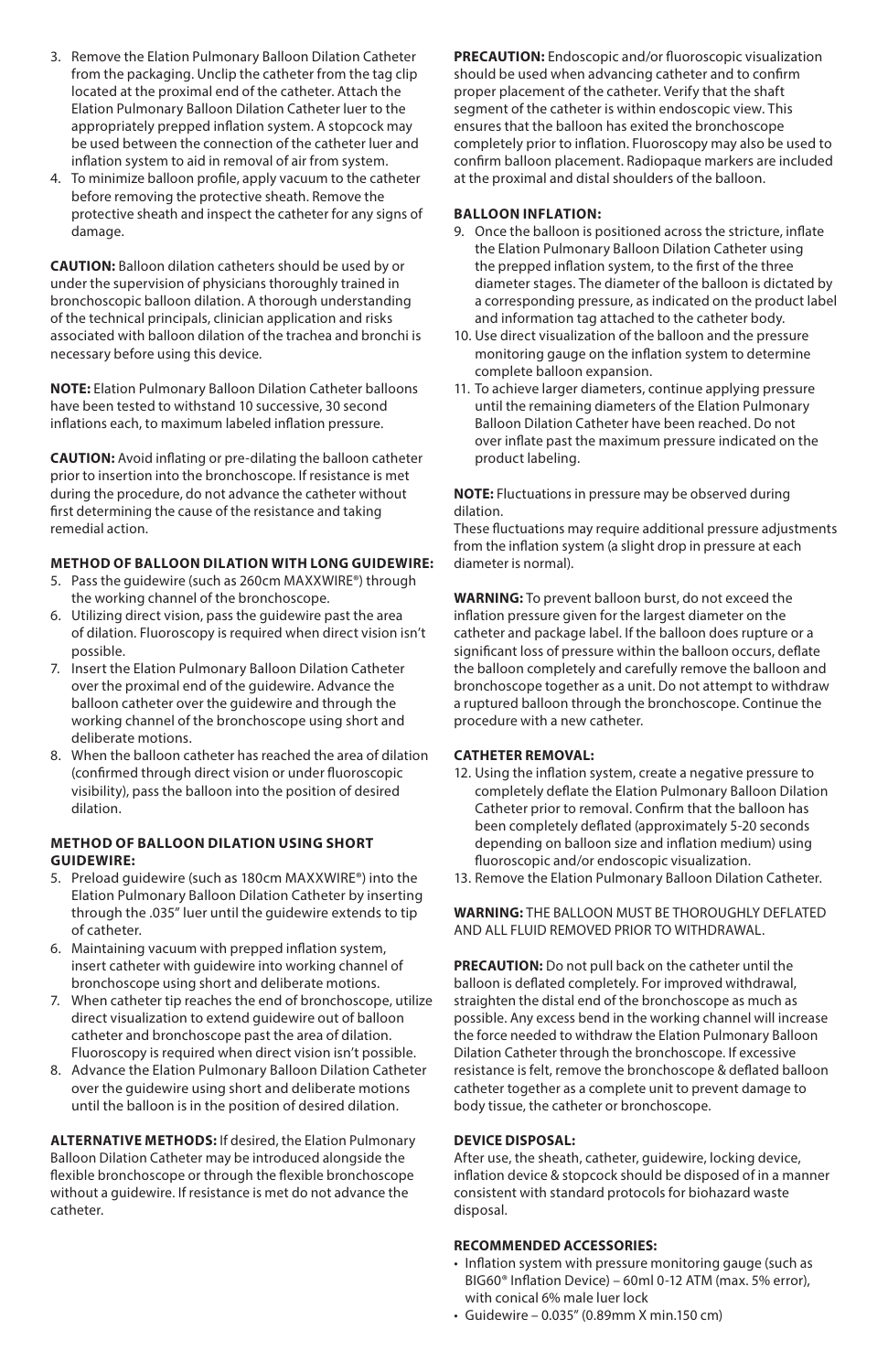- 3. Remove the Elation Pulmonary Balloon Dilation Catheter from the packaging. Unclip the catheter from the tag clip located at the proximal end of the catheter. Attach the Elation Pulmonary Balloon Dilation Catheter luer to the appropriately prepped inflation system. A stopcock may be used between the connection of the catheter luer and inflation system to aid in removal of air from system.
- 4. To minimize balloon profile, apply vacuum to the catheter before removing the protective sheath. Remove the protective sheath and inspect the catheter for any signs of damage.

**CAUTION:** Balloon dilation catheters should be used by or under the supervision of physicians thoroughly trained in bronchoscopic balloon dilation. A thorough understanding of the technical principals, clinician application and risks associated with balloon dilation of the trachea and bronchi is necessary before using this device.

**NOTE:** Elation Pulmonary Balloon Dilation Catheter balloons have been tested to withstand 10 successive, 30 second inflations each, to maximum labeled inflation pressure.

**CAUTION:** Avoid inflating or pre-dilating the balloon catheter prior to insertion into the bronchoscope. If resistance is met during the procedure, do not advance the catheter without first determining the cause of the resistance and taking remedial action.

## **METHOD OF BALLOON DILATION WITH LONG GUIDEWIRE:**

- 5. Pass the guidewire (such as 260cm MAXXWIRE®) through the working channel of the bronchoscope.
- 6. Utilizing direct vision, pass the guidewire past the area of dilation. Fluoroscopy is required when direct vision isn't possible.
- 7. Insert the Elation Pulmonary Balloon Dilation Catheter over the proximal end of the guidewire. Advance the balloon catheter over the guidewire and through the working channel of the bronchoscope using short and deliberate motions.
- 8. When the balloon catheter has reached the area of dilation (confirmed through direct vision or under fluoroscopic visibility), pass the balloon into the position of desired dilation.

## **METHOD OF BALLOON DILATION USING SHORT GUIDEWIRE:**

- 5. Preload guidewire (such as 180cm MAXXWIRE®) into the Elation Pulmonary Balloon Dilation Catheter by inserting through the .035" luer until the guidewire extends to tip of catheter.
- 6. Maintaining vacuum with prepped inflation system, insert catheter with guidewire into working channel of bronchoscope using short and deliberate motions.
- 7. When catheter tip reaches the end of bronchoscope, utilize direct visualization to extend guidewire out of balloon catheter and bronchoscope past the area of dilation. Fluoroscopy is required when direct vision isn't possible.
- 8. Advance the Elation Pulmonary Balloon Dilation Catheter over the guidewire using short and deliberate motions until the balloon is in the position of desired dilation.

**ALTERNATIVE METHODS:** If desired, the Elation Pulmonary Balloon Dilation Catheter may be introduced alongside the flexible bronchoscope or through the flexible bronchoscope without a guidewire. If resistance is met do not advance the catheter.

**PRECAUTION:** Endoscopic and/or fluoroscopic visualization should be used when advancing catheter and to confirm proper placement of the catheter. Verify that the shaft segment of the catheter is within endoscopic view. This ensures that the balloon has exited the bronchoscope completely prior to inflation. Fluoroscopy may also be used to confirm balloon placement. Radiopaque markers are included at the proximal and distal shoulders of the balloon.

## **BALLOON INFLATION:**

- 9. Once the balloon is positioned across the stricture, inflate the Elation Pulmonary Balloon Dilation Catheter using the prepped inflation system, to the first of the three diameter stages. The diameter of the balloon is dictated by a corresponding pressure, as indicated on the product label and information tag attached to the catheter body.
- 10. Use direct visualization of the balloon and the pressure monitoring gauge on the inflation system to determine complete balloon expansion.
- 11. To achieve larger diameters, continue applying pressure until the remaining diameters of the Elation Pulmonary Balloon Dilation Catheter have been reached. Do not over inflate past the maximum pressure indicated on the product labeling.

**NOTE:** Fluctuations in pressure may be observed during dilation.

These fluctuations may require additional pressure adjustments from the inflation system (a slight drop in pressure at each diameter is normal).

**WARNING:** To prevent balloon burst, do not exceed the inflation pressure given for the largest diameter on the catheter and package label. If the balloon does rupture or a significant loss of pressure within the balloon occurs, deflate the balloon completely and carefully remove the balloon and bronchoscope together as a unit. Do not attempt to withdraw a ruptured balloon through the bronchoscope. Continue the procedure with a new catheter.

#### **CATHETER REMOVAL:**

- 12. Using the inflation system, create a negative pressure to completely deflate the Elation Pulmonary Balloon Dilation Catheter prior to removal. Confirm that the balloon has been completely deflated (approximately 5-20 seconds depending on balloon size and inflation medium) using fluoroscopic and/or endoscopic visualization.
- 13. Remove the Elation Pulmonary Balloon Dilation Catheter.

**WARNING:** THE BALLOON MUST BE THOROUGHLY DEFLATED AND ALL FLUID REMOVED PRIOR TO WITHDRAWAL.

**PRECAUTION:** Do not pull back on the catheter until the balloon is deflated completely. For improved withdrawal, straighten the distal end of the bronchoscope as much as possible. Any excess bend in the working channel will increase the force needed to withdraw the Elation Pulmonary Balloon Dilation Catheter through the bronchoscope. If excessive resistance is felt, remove the bronchoscope & deflated balloon catheter together as a complete unit to prevent damage to body tissue, the catheter or bronchoscope.

## **DEVICE DISPOSAL:**

After use, the sheath, catheter, guidewire, locking device, inflation device & stopcock should be disposed of in a manner consistent with standard protocols for biohazard waste disposal.

## **RECOMMENDED ACCESSORIES:**

- Inflation system with pressure monitoring gauge (such as BIG60® Inflation Device) – 60ml 0-12 ATM (max. 5% error), with conical 6% male luer lock
- $\cdot$  Guidewire 0.035" (0.89mm X min 150 cm)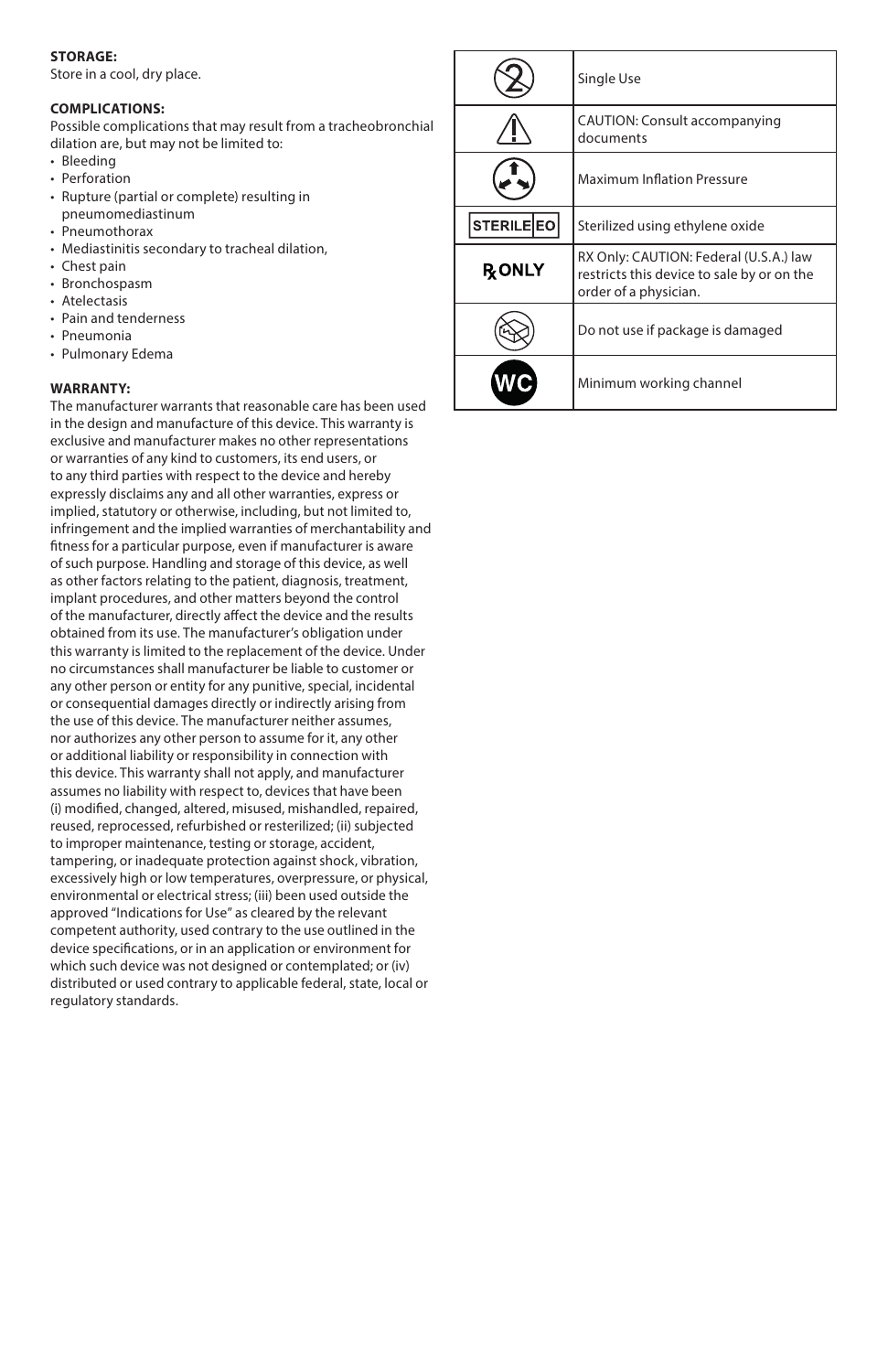## **STORAGE:**

Store in a cool, dry place.

#### **COMPLICATIONS:**

Possible complications that may result from a tracheobronchial dilation are, but may not be limited to:

- Bleeding
- Perforation
- Rupture (partial or complete) resulting in pneumomediastinum
- Pneumothorax
- Mediastinitis secondary to tracheal dilation,
- Chest pain
- Bronchospasm
- Atelectasis
- Pain and tenderness • Pneumonia
- Pulmonary Edema

#### **WARRANTY:**

The manufacturer warrants that reasonable care has been used in the design and manufacture of this device. This warranty is exclusive and manufacturer makes no other representations or warranties of any kind to customers, its end users, or to any third parties with respect to the device and hereby expressly disclaims any and all other warranties, express or implied, statutory or otherwise, including, but not limited to, infringement and the implied warranties of merchantability and fitness for a particular purpose, even if manufacturer is aware of such purpose. Handling and storage of this device, as well as other factors relating to the patient, diagnosis, treatment, implant procedures, and other matters beyond the control of the manufacturer, directly affect the device and the results obtained from its use. The manufacturer's obligation under this warranty is limited to the replacement of the device. Under no circumstances shall manufacturer be liable to customer or any other person or entity for any punitive, special, incidental or consequential damages directly or indirectly arising from the use of this device. The manufacturer neither assumes, nor authorizes any other person to assume for it, any other or additional liability or responsibility in connection with this device. This warranty shall not apply, and manufacturer assumes no liability with respect to, devices that have been (i) modified, changed, altered, misused, mishandled, repaired, reused, reprocessed, refurbished or resterilized; (ii) subjected to improper maintenance, testing or storage, accident, tampering, or inadequate protection against shock, vibration, excessively high or low temperatures, overpressure, or physical, environmental or electrical stress; (iii) been used outside the approved "Indications for Use" as cleared by the relevant competent authority, used contrary to the use outlined in the device specifications, or in an application or environment for which such device was not designed or contemplated; or (iv) distributed or used contrary to applicable federal, state, local or regulatory standards.

|                   | Single Use                                                                                                    |  |  |
|-------------------|---------------------------------------------------------------------------------------------------------------|--|--|
|                   | CAUTION: Consult accompanying<br>documents                                                                    |  |  |
|                   | <b>Maximum Inflation Pressure</b>                                                                             |  |  |
| <b>STERILE EO</b> | Sterilized using ethylene oxide                                                                               |  |  |
| <b>RONLY</b>      | RX Only: CAUTION: Federal (U.S.A.) law<br>restricts this device to sale by or on the<br>order of a physician. |  |  |
|                   | Do not use if package is damaged                                                                              |  |  |
|                   | Minimum working channel                                                                                       |  |  |